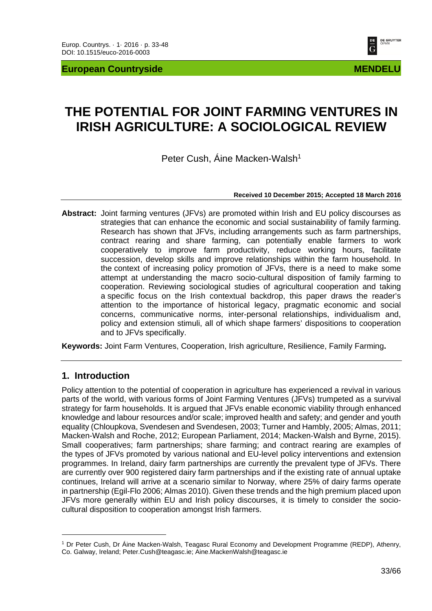**European Countryside MENDELU MENDELU** 



# **THE POTENTIAL FOR JOINT FARMING VENTURES IN IRISH AGRICULTURE: A SOCIOLOGICAL REVIEW**

Peter Cush, Áine Macken-Walsh<sup>1</sup>

#### **Received 10 December 2015; Accepted 18 March 2016**

**Abstract:** Joint farming ventures (JFVs) are promoted within Irish and EU policy discourses as strategies that can enhance the economic and social sustainability of family farming. Research has shown that JFVs, including arrangements such as farm partnerships, contract rearing and share farming, can potentially enable farmers to work cooperatively to improve farm productivity, reduce working hours, facilitate succession, develop skills and improve relationships within the farm household. In the context of increasing policy promotion of JFVs, there is a need to make some attempt at understanding the macro socio-cultural disposition of family farming to cooperation. Reviewing sociological studies of agricultural cooperation and taking a specific focus on the Irish contextual backdrop, this paper draws the reader's attention to the importance of historical legacy, pragmatic economic and social concerns, communicative norms, inter-personal relationships, individualism and, policy and extension stimuli, all of which shape farmers' dispositions to cooperation and to JFVs specifically.

**Keywords:** Joint Farm Ventures, Cooperation, Irish agriculture, Resilience, Family Farming**.** 

### **1. Introduction**

Policy attention to the potential of cooperation in agriculture has experienced a revival in various parts of the world, with various forms of Joint Farming Ventures (JFVs) trumpeted as a survival strategy for farm households. It is argued that JFVs enable economic viability through enhanced knowledge and labour resources and/or scale; improved health and safety; and gender and youth equality (Chloupkova, Svendesen and Svendesen, 2003; Turner and Hambly, 2005; Almas, 2011; Macken-Walsh and Roche, 2012; European Parliament, 2014; Macken-Walsh and Byrne, 2015). Small cooperatives; farm partnerships; share farming; and contract rearing are examples of the types of JFVs promoted by various national and EU-level policy interventions and extension programmes. In Ireland, dairy farm partnerships are currently the prevalent type of JFVs. There are currently over 900 registered dairy farm partnerships and if the existing rate of annual uptake continues, Ireland will arrive at a scenario similar to Norway, where 25% of dairy farms operate in partnership (Egil-Flo 2006; Almas 2010). Given these trends and the high premium placed upon JFVs more generally within EU and Irish policy discourses, it is timely to consider the sociocultural disposition to cooperation amongst Irish farmers.

<sup>1</sup> Dr Peter Cush, Dr Áine Macken-Walsh, Teagasc Rural Economy and Development Programme (REDP), Athenry, Co. Galway, Ireland; Peter.Cush@teagasc.ie; Aine.MackenWalsh@teagasc.ie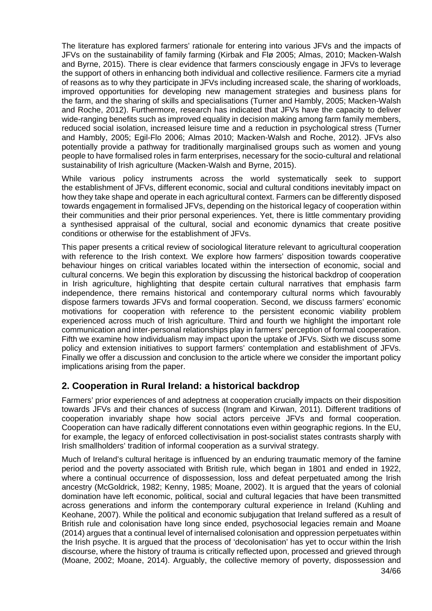The literature has explored farmers' rationale for entering into various JFVs and the impacts of JFVs on the sustainability of family farming (Kirbak and Flø 2005; Almas, 2010; Macken-Walsh and Byrne, 2015). There is clear evidence that farmers consciously engage in JFVs to leverage the support of others in enhancing both individual and collective resilience. Farmers cite a myriad of reasons as to why they participate in JFVs including increased scale, the sharing of workloads, improved opportunities for developing new management strategies and business plans for the farm, and the sharing of skills and specialisations (Turner and Hambly, 2005; Macken-Walsh and Roche, 2012). Furthermore, research has indicated that JFVs have the capacity to deliver wide-ranging benefits such as improved equality in decision making among farm family members, reduced social isolation, increased leisure time and a reduction in psychological stress (Turner and Hambly, 2005; Egil-Flo 2006; Almas 2010; Macken-Walsh and Roche, 2012). JFVs also potentially provide a pathway for traditionally marginalised groups such as women and young people to have formalised roles in farm enterprises, necessary for the socio-cultural and relational sustainability of Irish agriculture (Macken-Walsh and Byrne, 2015).

While various policy instruments across the world systematically seek to support the establishment of JFVs, different economic, social and cultural conditions inevitably impact on how they take shape and operate in each agricultural context. Farmers can be differently disposed towards engagement in formalised JFVs, depending on the historical legacy of cooperation within their communities and their prior personal experiences. Yet, there is little commentary providing a synthesised appraisal of the cultural, social and economic dynamics that create positive conditions or otherwise for the establishment of JFVs.

This paper presents a critical review of sociological literature relevant to agricultural cooperation with reference to the Irish context. We explore how farmers' disposition towards cooperative behaviour hinges on critical variables located within the intersection of economic, social and cultural concerns. We begin this exploration by discussing the historical backdrop of cooperation in Irish agriculture, highlighting that despite certain cultural narratives that emphasis farm independence, there remains historical and contemporary cultural norms which favourably dispose farmers towards JFVs and formal cooperation. Second, we discuss farmers' economic motivations for cooperation with reference to the persistent economic viability problem experienced across much of Irish agriculture. Third and fourth we highlight the important role communication and inter-personal relationships play in farmers' perception of formal cooperation. Fifth we examine how individualism may impact upon the uptake of JFVs. Sixth we discuss some policy and extension initiatives to support farmers' contemplation and establishment of JFVs. Finally we offer a discussion and conclusion to the article where we consider the important policy implications arising from the paper.

# **2. Cooperation in Rural Ireland: a historical backdrop**

Farmers' prior experiences of and adeptness at cooperation crucially impacts on their disposition towards JFVs and their chances of success (Ingram and Kirwan, 2011). Different traditions of cooperation invariably shape how social actors perceive JFVs and formal cooperation. Cooperation can have radically different connotations even within geographic regions. In the EU, for example, the legacy of enforced collectivisation in post-socialist states contrasts sharply with Irish smallholders' tradition of informal cooperation as a survival strategy.

34/66 Much of Ireland's cultural heritage is influenced by an enduring traumatic memory of the famine period and the poverty associated with British rule, which began in 1801 and ended in 1922, where a continual occurrence of dispossession, loss and defeat perpetuated among the Irish ancestry (McGoldrick, 1982; Kenny, 1985; Moane, 2002). It is argued that the years of colonial domination have left economic, political, social and cultural legacies that have been transmitted across generations and inform the contemporary cultural experience in Ireland (Kuhling and Keohane, 2007). While the political and economic subjugation that Ireland suffered as a result of British rule and colonisation have long since ended, psychosocial legacies remain and Moane (2014) argues that a continual level of internalised colonisation and oppression perpetuates within the Irish psyche. It is argued that the process of 'decolonisation' has yet to occur within the Irish discourse, where the history of trauma is critically reflected upon, processed and grieved through (Moane, 2002; Moane, 2014). Arguably, the collective memory of poverty, dispossession and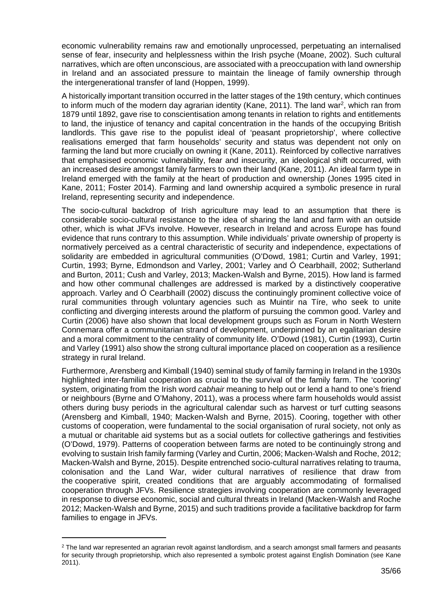economic vulnerability remains raw and emotionally unprocessed, perpetuating an internalised sense of fear, insecurity and helplessness within the Irish psyche (Moane, 2002). Such cultural narratives, which are often unconscious, are associated with a preoccupation with land ownership in Ireland and an associated pressure to maintain the lineage of family ownership through the intergenerational transfer of land (Hoppen, 1999).

A historically important transition occurred in the latter stages of the 19th century, which continues to inform much of the modern day agrarian identity (Kane, 2011). The land war<sup>2</sup>, which ran from 1879 until 1892, gave rise to conscientisation among tenants in relation to rights and entitlements to land, the injustice of tenancy and capital concentration in the hands of the occupying British landlords. This gave rise to the populist ideal of 'peasant proprietorship', where collective realisations emerged that farm households' security and status was dependent not only on farming the land but more crucially on owning it (Kane, 2011). Reinforced by collective narratives that emphasised economic vulnerability, fear and insecurity, an ideological shift occurred, with an increased desire amongst family farmers to own their land (Kane, 2011). An ideal farm type in Ireland emerged with the family at the heart of production and ownership (Jones 1995 cited in Kane, 2011; Foster 2014). Farming and land ownership acquired a symbolic presence in rural Ireland, representing security and independence.

The socio-cultural backdrop of Irish agriculture may lead to an assumption that there is considerable socio-cultural resistance to the idea of sharing the land and farm with an outside other, which is what JFVs involve. However, research in Ireland and across Europe has found evidence that runs contrary to this assumption. While individuals' private ownership of property is normatively perceived as a central characteristic of security and independence, expectations of solidarity are embedded in agricultural communities (O'Dowd, 1981; Curtin and Varley, 1991; Curtin, 1993; Byrne, Edmondson and Varley, 2001; Varley and Ó Cearbhaill, 2002; Sutherland and Burton, 2011; Cush and Varley, 2013; Macken-Walsh and Byrne, 2015). How land is farmed and how other communal challenges are addressed is marked by a distinctively cooperative approach. Varley and Ó Cearbhaill (2002) discuss the continuingly prominent collective voice of rural communities through voluntary agencies such as Muintir na Tíre, who seek to unite conflicting and diverging interests around the platform of pursuing the common good. Varley and Curtin (2006) have also shown that local development groups such as Forum in North Western Connemara offer a communitarian strand of development, underpinned by an egalitarian desire and a moral commitment to the centrality of community life. O'Dowd (1981), Curtin (1993), Curtin and Varley (1991) also show the strong cultural importance placed on cooperation as a resilience strategy in rural Ireland.

Furthermore, Arensberg and Kimball (1940) seminal study of family farming in Ireland in the 1930s highlighted inter-familial cooperation as crucial to the survival of the family farm. The 'cooring' system, originating from the Irish word *cabhair* meaning to help out or lend a hand to one's friend or neighbours (Byrne and O'Mahony, 2011), was a process where farm households would assist others during busy periods in the agricultural calendar such as harvest or turf cutting seasons (Arensberg and Kimball, 1940; Macken-Walsh and Byrne, 2015). Cooring, together with other customs of cooperation, were fundamental to the social organisation of rural society, not only as a mutual or charitable aid systems but as a social outlets for collective gatherings and festivities (O'Dowd, 1979). Patterns of cooperation between farms are noted to be continuingly strong and evolving to sustain Irish family farming (Varley and Curtin, 2006; Macken-Walsh and Roche, 2012; Macken-Walsh and Byrne, 2015). Despite entrenched socio-cultural narratives relating to trauma, colonisation and the Land War, wider cultural narratives of resilience that draw from the cooperative spirit, created conditions that are arguably accommodating of formalised cooperation through JFVs. Resilience strategies involving cooperation are commonly leveraged in response to diverse economic, social and cultural threats in Ireland (Macken-Walsh and Roche 2012; Macken-Walsh and Byrne, 2015) and such traditions provide a facilitative backdrop for farm families to engage in JFVs.

<sup>&</sup>lt;sup>2</sup> The land war represented an agrarian revolt against landlordism, and a search amongst small farmers and peasants for security through proprietorship, which also represented a symbolic protest against English Domination (see Kane 2011).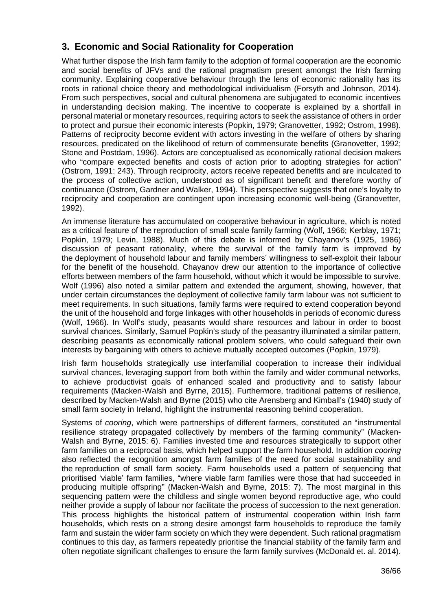# **3. Economic and Social Rationality for Cooperation**

What further dispose the Irish farm family to the adoption of formal cooperation are the economic and social benefits of JFVs and the rational pragmatism present amongst the Irish farming community. Explaining cooperative behaviour through the lens of economic rationality has its roots in rational choice theory and methodological individualism (Forsyth and Johnson, 2014). From such perspectives, social and cultural phenomena are subjugated to economic incentives in understanding decision making. The incentive to cooperate is explained by a shortfall in personal material or monetary resources, requiring actors to seek the assistance of others in order to protect and pursue their economic interests (Popkin, 1979; Granovetter, 1992; Ostrom, 1998). Patterns of reciprocity become evident with actors investing in the welfare of others by sharing resources, predicated on the likelihood of return of commensurate benefits (Granovetter, 1992; Stone and Postdam, 1996). Actors are conceptualised as economically rational decision makers who "compare expected benefits and costs of action prior to adopting strategies for action" (Ostrom, 1991: 243). Through reciprocity, actors receive repeated benefits and are inculcated to the process of collective action, understood as of significant benefit and therefore worthy of continuance (Ostrom, Gardner and Walker, 1994). This perspective suggests that one's loyalty to reciprocity and cooperation are contingent upon increasing economic well-being (Granovetter, 1992).

An immense literature has accumulated on cooperative behaviour in agriculture, which is noted as a critical feature of the reproduction of small scale family farming (Wolf, 1966; Kerblay, 1971; Popkin, 1979; Levin, 1988). Much of this debate is informed by Chayanov's (1925, 1986) discussion of peasant rationality, where the survival of the family farm is improved by the deployment of household labour and family members' willingness to self-exploit their labour for the benefit of the household. Chayanov drew our attention to the importance of collective efforts between members of the farm household, without which it would be impossible to survive. Wolf (1996) also noted a similar pattern and extended the argument, showing, however, that under certain circumstances the deployment of collective family farm labour was not sufficient to meet requirements. In such situations, family farms were required to extend cooperation beyond the unit of the household and forge linkages with other households in periods of economic duress (Wolf, 1966). In Wolf's study, peasants would share resources and labour in order to boost survival chances. Similarly, Samuel Popkin's study of the peasantry illuminated a similar pattern, describing peasants as economically rational problem solvers, who could safeguard their own interests by bargaining with others to achieve mutually accepted outcomes (Popkin, 1979).

Irish farm households strategically use interfamilial cooperation to increase their individual survival chances, leveraging support from both within the family and wider communal networks, to achieve productivist goals of enhanced scaled and productivity and to satisfy labour requirements (Macken-Walsh and Byrne, 2015). Furthermore, traditional patterns of resilience, described by Macken-Walsh and Byrne (2015) who cite Arensberg and Kimball's (1940) study of small farm society in Ireland, highlight the instrumental reasoning behind cooperation.

Systems of *cooring*, which were partnerships of different farmers, constituted an "instrumental resilience strategy propagated collectively by members of the farming community" (Macken-Walsh and Byrne, 2015: 6). Families invested time and resources strategically to support other farm families on a reciprocal basis, which helped support the farm household. In addition *cooring*  also reflected the recognition amongst farm families of the need for social sustainability and the reproduction of small farm society. Farm households used a pattern of sequencing that prioritised 'viable' farm families, "where viable farm families were those that had succeeded in producing multiple offspring" (Macken-Walsh and Byrne, 2015: 7). The most marginal in this sequencing pattern were the childless and single women beyond reproductive age, who could neither provide a supply of labour nor facilitate the process of succession to the next generation. This process highlights the historical pattern of instrumental cooperation within Irish farm households, which rests on a strong desire amongst farm households to reproduce the family farm and sustain the wider farm society on which they were dependent. Such rational pragmatism continues to this day, as farmers repeatedly prioritise the financial stability of the family farm and often negotiate significant challenges to ensure the farm family survives (McDonald et. al. 2014).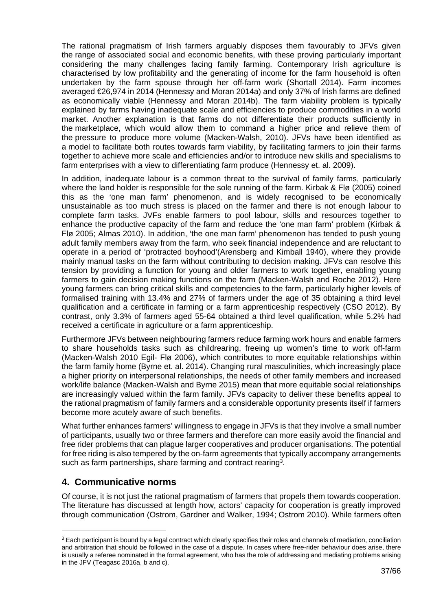The rational pragmatism of Irish farmers arguably disposes them favourably to JFVs given the range of associated social and economic benefits, with these proving particularly important considering the many challenges facing family farming. Contemporary Irish agriculture is characterised by low profitability and the generating of income for the farm household is often undertaken by the farm spouse through her off-farm work (Shortall 2014). Farm incomes averaged €26,974 in 2014 (Hennessy and Moran 2014a) and only 37% of Irish farms are defined as economically viable (Hennessy and Moran 2014b). The farm viability problem is typically explained by farms having inadequate scale and efficiencies to produce commodities in a world market. Another explanation is that farms do not differentiate their products sufficiently in the marketplace, which would allow them to command a higher price and relieve them of the pressure to produce more volume (Macken-Walsh, 2010). JFVs have been identified as a model to facilitate both routes towards farm viability, by facilitating farmers to join their farms together to achieve more scale and efficiencies and/or to introduce new skills and specialisms to farm enterprises with a view to differentiating farm produce (Hennessy et. al. 2009).

In addition, inadequate labour is a common threat to the survival of family farms, particularly where the land holder is responsible for the sole running of the farm. Kirbak & Flø (2005) coined this as the 'one man farm' phenomenon, and is widely recognised to be economically unsustainable as too much stress is placed on the farmer and there is not enough labour to complete farm tasks. JVFs enable farmers to pool labour, skills and resources together to enhance the productive capacity of the farm and reduce the 'one man farm' problem (Kirbak & Flø 2005; Almas 2010). In addition, 'the one man farm' phenomenon has tended to push young adult family members away from the farm, who seek financial independence and are reluctant to operate in a period of 'protracted boyhood'(Arensberg and Kimball 1940), where they provide mainly manual tasks on the farm without contributing to decision making. JFVs can resolve this tension by providing a function for young and older farmers to work together, enabling young farmers to gain decision making functions on the farm (Macken-Walsh and Roche 2012). Here young farmers can bring critical skills and competencies to the farm, particularly higher levels of formalised training with 13.4% and 27% of farmers under the age of 35 obtaining a third level qualification and a certificate in farming or a farm apprenticeship respectively (CSO 2012). By contrast, only 3.3% of farmers aged 55-64 obtained a third level qualification, while 5.2% had received a certificate in agriculture or a farm apprenticeship.

Furthermore JFVs between neighbouring farmers reduce farming work hours and enable farmers to share households tasks such as childrearing, freeing up women's time to work off-farm (Macken-Walsh 2010 Egil- Flø 2006), which contributes to more equitable relationships within the farm family home (Byrne et. al. 2014). Changing rural masculinities, which increasingly place a higher priority on interpersonal relationships, the needs of other family members and increased work/life balance (Macken-Walsh and Byrne 2015) mean that more equitable social relationships are increasingly valued within the farm family. JFVs capacity to deliver these benefits appeal to the rational pragmatism of family farmers and a considerable opportunity presents itself if farmers become more acutely aware of such benefits.

What further enhances farmers' willingness to engage in JFVs is that they involve a small number of participants, usually two or three farmers and therefore can more easily avoid the financial and free rider problems that can plague larger cooperatives and producer organisations. The potential for free riding is also tempered by the on-farm agreements that typically accompany arrangements such as farm partnerships, share farming and contract rearing<sup>3</sup>.

# **4. Communicative norms**

Of course, it is not just the rational pragmatism of farmers that propels them towards cooperation. The literature has discussed at length how, actors' capacity for cooperation is greatly improved through communication (Ostrom, Gardner and Walker, 1994; Ostrom 2010). While farmers often

 $3$  Each participant is bound by a legal contract which clearly specifies their roles and channels of mediation, conciliation and arbitration that should be followed in the case of a dispute. In cases where free-rider behaviour does arise, there is usually a referee nominated in the formal agreement, who has the role of addressing and mediating problems arising in the JFV (Teagasc 2016a, b and c).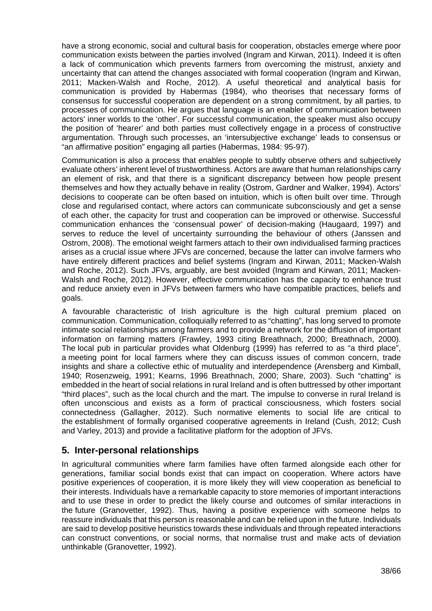have a strong economic, social and cultural basis for cooperation, obstacles emerge where poor communication exists between the parties involved (Ingram and Kirwan, 2011). Indeed it is often a lack of communication which prevents farmers from overcoming the mistrust, anxiety and uncertainty that can attend the changes associated with formal cooperation (Ingram and Kirwan, 2011; Macken-Walsh and Roche, 2012). A useful theoretical and analytical basis for communication is provided by Habermas (1984), who theorises that necessary forms of consensus for successful cooperation are dependent on a strong commitment, by all parties, to processes of communication. He argues that language is an enabler of communication between actors' inner worlds to the 'other'. For successful communication, the speaker must also occupy the position of 'hearer' and both parties must collectively engage in a process of constructive argumentation. Through such processes, an 'intersubjective exchange' leads to consensus or "an affirmative position" engaging all parties (Habermas, 1984: 95-97).

Communication is also a process that enables people to subtly observe others and subjectively evaluate others' inherent level of trustworthiness. Actors are aware that human relationships carry an element of risk, and that there is a significant discrepancy between how people present themselves and how they actually behave in reality (Ostrom, Gardner and Walker, 1994). Actors' decisions to cooperate can be often based on intuition, which is often built over time. Through close and regularised contact, where actors can communicate subconsciously and get a sense of each other, the capacity for trust and cooperation can be improved or otherwise. Successful communication enhances the 'consensual power' of decision-making (Haugaard, 1997) and serves to reduce the level of uncertainty surrounding the behaviour of others (Janssen and Ostrom, 2008). The emotional weight farmers attach to their own individualised farming practices arises as a crucial issue where JFVs are concerned, because the latter can involve farmers who have entirely different practices and belief systems (Ingram and Kirwan, 2011; Macken-Walsh and Roche, 2012). Such JFVs, arguably, are best avoided (Ingram and Kirwan, 2011; Macken-Walsh and Roche, 2012). However, effective communication has the capacity to enhance trust and reduce anxiety even in JFVs between farmers who have compatible practices, beliefs and goals.

A favourable characteristic of Irish agriculture is the high cultural premium placed on communication. Communication, colloquially referred to as "chatting", has long served to promote intimate social relationships among farmers and to provide a network for the diffusion of important information on farming matters (Frawley, 1993 citing Breathnach, 2000; Breathnach, 2000). The local pub in particular provides what Oldenburg (1999) has referred to as "a third place", a meeting point for local farmers where they can discuss issues of common concern, trade insights and share a collective ethic of mutuality and interdependence (Arensberg and Kimball, 1940; Rosenzweig, 1991; Kearns, 1996 Breathnach, 2000; Share, 2003). Such "chatting" is embedded in the heart of social relations in rural Ireland and is often buttressed by other important "third places", such as the local church and the mart. The impulse to converse in rural Ireland is often unconscious and exists as a form of practical consciousness, which fosters social connectedness (Gallagher, 2012). Such normative elements to social life are critical to the establishment of formally organised cooperative agreements in Ireland (Cush, 2012; Cush and Varley, 2013) and provide a facilitative platform for the adoption of JFVs.

### **5. Inter-personal relationships**

In agricultural communities where farm families have often farmed alongside each other for generations, familiar social bonds exist that can impact on cooperation. Where actors have positive experiences of cooperation, it is more likely they will view cooperation as beneficial to their interests. Individuals have a remarkable capacity to store memories of important interactions and to use these in order to predict the likely course and outcomes of similar interactions in the future (Granovetter, 1992). Thus, having a positive experience with someone helps to reassure individuals that this person is reasonable and can be relied upon in the future. Individuals are said to develop positive heuristics towards these individuals and through repeated interactions can construct conventions, or social norms, that normalise trust and make acts of deviation unthinkable (Granovetter, 1992).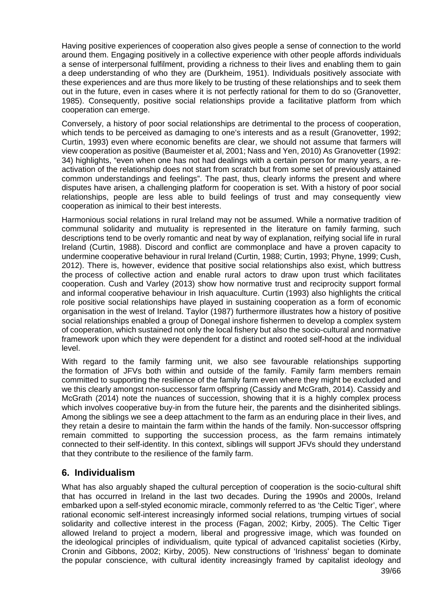Having positive experiences of cooperation also gives people a sense of connection to the world around them. Engaging positively in a collective experience with other people affords individuals a sense of interpersonal fulfilment, providing a richness to their lives and enabling them to gain a deep understanding of who they are (Durkheim, 1951). Individuals positively associate with these experiences and are thus more likely to be trusting of these relationships and to seek them out in the future, even in cases where it is not perfectly rational for them to do so (Granovetter, 1985). Consequently, positive social relationships provide a facilitative platform from which cooperation can emerge.

Conversely, a history of poor social relationships are detrimental to the process of cooperation, which tends to be perceived as damaging to one's interests and as a result (Granovetter, 1992; Curtin, 1993) even where economic benefits are clear, we should not assume that farmers will view cooperation as positive (Baumeister et al, 2001; Nass and Yen, 2010) As Granovetter (1992: 34) highlights, "even when one has not had dealings with a certain person for many years, a reactivation of the relationship does not start from scratch but from some set of previously attained common understandings and feelings". The past, thus, clearly informs the present and where disputes have arisen, a challenging platform for cooperation is set. With a history of poor social relationships, people are less able to build feelings of trust and may consequently view cooperation as inimical to their best interests.

Harmonious social relations in rural Ireland may not be assumed. While a normative tradition of communal solidarity and mutuality is represented in the literature on family farming, such descriptions tend to be overly romantic and neat by way of explanation, reifying social life in rural Ireland (Curtin, 1988). Discord and conflict are commonplace and have a proven capacity to undermine cooperative behaviour in rural Ireland (Curtin, 1988; Curtin, 1993; Phyne, 1999; Cush, 2012). There is, however, evidence that positive social relationships also exist, which buttress the process of collective action and enable rural actors to draw upon trust which facilitates cooperation. Cush and Varley (2013) show how normative trust and reciprocity support formal and informal cooperative behaviour in Irish aquaculture. Curtin (1993) also highlights the critical role positive social relationships have played in sustaining cooperation as a form of economic organisation in the west of Ireland. Taylor (1987) furthermore illustrates how a history of positive social relationships enabled a group of Donegal inshore fishermen to develop a complex system of cooperation, which sustained not only the local fishery but also the socio-cultural and normative framework upon which they were dependent for a distinct and rooted self-hood at the individual level.

With regard to the family farming unit, we also see favourable relationships supporting the formation of JFVs both within and outside of the family. Family farm members remain committed to supporting the resilience of the family farm even where they might be excluded and we this clearly amongst non-successor farm offspring (Cassidy and McGrath, 2014). Cassidy and McGrath (2014) note the nuances of succession, showing that it is a highly complex process which involves cooperative buy-in from the future heir, the parents and the disinherited siblings. Among the siblings we see a deep attachment to the farm as an enduring place in their lives, and they retain a desire to maintain the farm within the hands of the family. Non-successor offspring remain committed to supporting the succession process, as the farm remains intimately connected to their self-identity. In this context, siblings will support JFVs should they understand that they contribute to the resilience of the family farm.

### **6. Individualism**

39/66 What has also arguably shaped the cultural perception of cooperation is the socio-cultural shift that has occurred in Ireland in the last two decades. During the 1990s and 2000s, Ireland embarked upon a self-styled economic miracle, commonly referred to as 'the Celtic Tiger', where rational economic self-interest increasingly informed social relations, trumping virtues of social solidarity and collective interest in the process (Fagan, 2002; Kirby, 2005). The Celtic Tiger allowed Ireland to project a modern, liberal and progressive image, which was founded on the ideological principles of individualism, quite typical of advanced capitalist societies (Kirby, Cronin and Gibbons, 2002; Kirby, 2005). New constructions of 'Irishness' began to dominate the popular conscience, with cultural identity increasingly framed by capitalist ideology and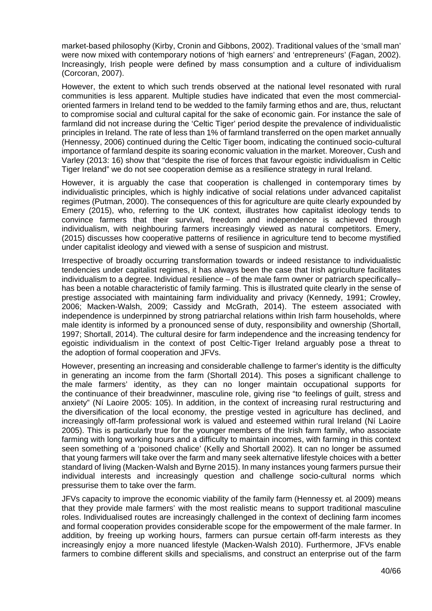market-based philosophy (Kirby, Cronin and Gibbons, 2002). Traditional values of the 'small man' were now mixed with contemporary notions of 'high earners' and 'entrepreneurs' (Fagan, 2002). Increasingly, Irish people were defined by mass consumption and a culture of individualism (Corcoran, 2007).

However, the extent to which such trends observed at the national level resonated with rural communities is less apparent. Multiple studies have indicated that even the most commercialoriented farmers in Ireland tend to be wedded to the family farming ethos and are, thus, reluctant to compromise social and cultural capital for the sake of economic gain. For instance the sale of farmland did not increase during the 'Celtic Tiger' period despite the prevalence of individualistic principles in Ireland. The rate of less than 1% of farmland transferred on the open market annually (Hennessy, 2006) continued during the Celtic Tiger boom, indicating the continued socio-cultural importance of farmland despite its soaring economic valuation in the market. Moreover, Cush and Varley (2013: 16) show that "despite the rise of forces that favour egoistic individualism in Celtic Tiger Ireland" we do not see cooperation demise as a resilience strategy in rural Ireland.

However, it is arguably the case that cooperation is challenged in contemporary times by individualistic principles, which is highly indicative of social relations under advanced capitalist regimes (Putman, 2000). The consequences of this for agriculture are quite clearly expounded by Emery (2015), who, referring to the UK context, illustrates how capitalist ideology tends to convince farmers that their survival, freedom and independence is achieved through individualism, with neighbouring farmers increasingly viewed as natural competitors. Emery, (2015) discusses how cooperative patterns of resilience in agriculture tend to become mystified under capitalist ideology and viewed with a sense of suspicion and mistrust.

Irrespective of broadly occurring transformation towards or indeed resistance to individualistic tendencies under capitalist regimes, it has always been the case that Irish agriculture facilitates individualism to a degree. Individual resilience – of the male farm owner or patriarch specifically– has been a notable characteristic of family farming. This is illustrated quite clearly in the sense of prestige associated with maintaining farm individuality and privacy (Kennedy, 1991; Crowley, 2006; Macken-Walsh, 2009; Cassidy and McGrath, 2014). The esteem associated with independence is underpinned by strong patriarchal relations within Irish farm households, where male identity is informed by a pronounced sense of duty, responsibility and ownership (Shortall, 1997; Shortall, 2014). The cultural desire for farm independence and the increasing tendency for egoistic individualism in the context of post Celtic-Tiger Ireland arguably pose a threat to the adoption of formal cooperation and JFVs.

However, presenting an increasing and considerable challenge to farmer's identity is the difficulty in generating an income from the farm (Shortall 2014). This poses a significant challenge to the male farmers' identity, as they can no longer maintain occupational supports for the continuance of their breadwinner, masculine role, giving rise "to feelings of guilt, stress and anxiety" (Ní Laoire 2005: 105). In addition, in the context of increasing rural restructuring and the diversification of the local economy, the prestige vested in agriculture has declined, and increasingly off-farm professional work is valued and esteemed within rural Ireland (Ní Laoire 2005). This is particularly true for the younger members of the Irish farm family, who associate farming with long working hours and a difficulty to maintain incomes, with farming in this context seen something of a 'poisoned chalice' (Kelly and Shortall 2002). It can no longer be assumed that young farmers will take over the farm and many seek alternative lifestyle choices with a better standard of living (Macken-Walsh and Byrne 2015). In many instances young farmers pursue their individual interests and increasingly question and challenge socio-cultural norms which pressurise them to take over the farm.

JFVs capacity to improve the economic viability of the family farm (Hennessy et. al 2009) means that they provide male farmers' with the most realistic means to support traditional masculine roles. Individualised routes are increasingly challenged in the context of declining farm incomes and formal cooperation provides considerable scope for the empowerment of the male farmer. In addition, by freeing up working hours, farmers can pursue certain off-farm interests as they increasingly enjoy a more nuanced lifestyle (Macken-Walsh 2010). Furthermore, JFVs enable farmers to combine different skills and specialisms, and construct an enterprise out of the farm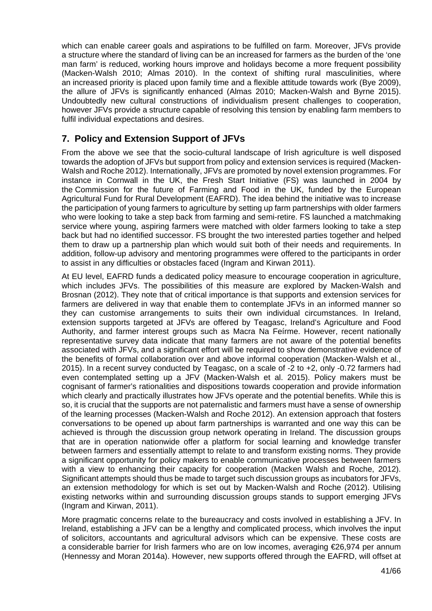which can enable career goals and aspirations to be fulfilled on farm. Moreover, JFVs provide a structure where the standard of living can be an increased for farmers as the burden of the 'one man farm' is reduced, working hours improve and holidays become a more frequent possibility (Macken-Walsh 2010; Almas 2010). In the context of shifting rural masculinities, where an increased priority is placed upon family time and a flexible attitude towards work (Bye 2009), the allure of JFVs is significantly enhanced (Almas 2010; Macken-Walsh and Byrne 2015). Undoubtedly new cultural constructions of individualism present challenges to cooperation, however JFVs provide a structure capable of resolving this tension by enabling farm members to fulfil individual expectations and desires.

# **7. Policy and Extension Support of JFVs**

From the above we see that the socio-cultural landscape of Irish agriculture is well disposed towards the adoption of JFVs but support from policy and extension services is required (Macken-Walsh and Roche 2012). Internationally, JFVs are promoted by novel extension programmes. For instance in Cornwall in the UK, the Fresh Start Initiative (FS) was launched in 2004 by the Commission for the future of Farming and Food in the UK, funded by the European Agricultural Fund for Rural Development (EAFRD). The idea behind the initiative was to increase the participation of young farmers to agriculture by setting up farm partnerships with older farmers who were looking to take a step back from farming and semi-retire. FS launched a matchmaking service where young, aspiring farmers were matched with older farmers looking to take a step back but had no identified successor. FS brought the two interested parties together and helped them to draw up a partnership plan which would suit both of their needs and requirements. In addition, follow-up advisory and mentoring programmes were offered to the participants in order to assist in any difficulties or obstacles faced (Ingram and Kirwan 2011).

At EU level, EAFRD funds a dedicated policy measure to encourage cooperation in agriculture, which includes JFVs. The possibilities of this measure are explored by Macken-Walsh and Brosnan (2012). They note that of critical importance is that supports and extension services for farmers are delivered in way that enable them to contemplate JFVs in an informed manner so they can customise arrangements to suits their own individual circumstances. In Ireland, extension supports targeted at JFVs are offered by Teagasc, Ireland's Agriculture and Food Authority, and farmer interest groups such as Macra Na Feírme. However, recent nationally representative survey data indicate that many farmers are not aware of the potential benefits associated with JFVs, and a significant effort will be required to show demonstrative evidence of the benefits of formal collaboration over and above informal cooperation (Macken-Walsh et al., 2015). In a recent survey conducted by Teagasc, on a scale of -2 to +2, only -0.72 farmers had even contemplated setting up a JFV (Macken-Walsh et al. 2015). Policy makers must be cognisant of farmer's rationalities and dispositions towards cooperation and provide information which clearly and practically illustrates how JFVs operate and the potential benefits. While this is so, it is crucial that the supports are not paternalistic and farmers must have a sense of ownership of the learning processes (Macken-Walsh and Roche 2012). An extension approach that fosters conversations to be opened up about farm partnerships is warranted and one way this can be achieved is through the discussion group network operating in Ireland. The discussion groups that are in operation nationwide offer a platform for social learning and knowledge transfer between farmers and essentially attempt to relate to and transform existing norms. They provide a significant opportunity for policy makers to enable communicative processes between farmers with a view to enhancing their capacity for cooperation (Macken Walsh and Roche, 2012). Significant attempts should thus be made to target such discussion groups as incubators for JFVs, an extension methodology for which is set out by Macken-Walsh and Roche (2012). Utilising existing networks within and surrounding discussion groups stands to support emerging JFVs (Ingram and Kirwan, 2011).

More pragmatic concerns relate to the bureaucracy and costs involved in establishing a JFV. In Ireland, establishing a JFV can be a lengthy and complicated process, which involves the input of solicitors, accountants and agricultural advisors which can be expensive. These costs are a considerable barrier for Irish farmers who are on low incomes, averaging €26,974 per annum (Hennessy and Moran 2014a). However, new supports offered through the EAFRD, will offset at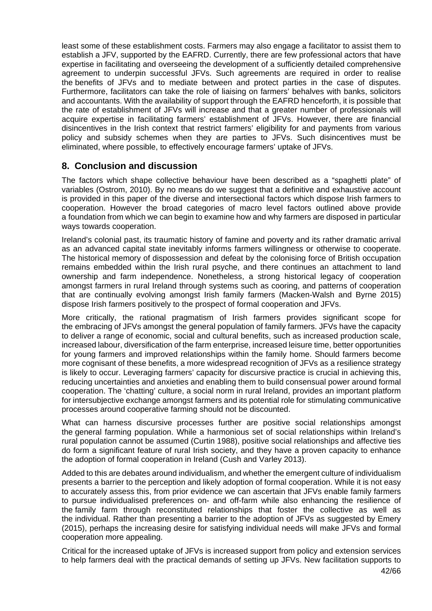least some of these establishment costs. Farmers may also engage a facilitator to assist them to establish a JFV, supported by the EAFRD. Currently, there are few professional actors that have expertise in facilitating and overseeing the development of a sufficiently detailed comprehensive agreement to underpin successful JFVs. Such agreements are required in order to realise the benefits of JFVs and to mediate between and protect parties in the case of disputes. Furthermore, facilitators can take the role of liaising on farmers' behalves with banks, solicitors and accountants. With the availability of support through the EAFRD henceforth, it is possible that the rate of establishment of JFVs will increase and that a greater number of professionals will acquire expertise in facilitating farmers' establishment of JFVs. However, there are financial disincentives in the Irish context that restrict farmers' eligibility for and payments from various policy and subsidy schemes when they are parties to JFVs. Such disincentives must be eliminated, where possible, to effectively encourage farmers' uptake of JFVs.

### **8. Conclusion and discussion**

The factors which shape collective behaviour have been described as a "spaghetti plate" of variables (Ostrom, 2010). By no means do we suggest that a definitive and exhaustive account is provided in this paper of the diverse and intersectional factors which dispose Irish farmers to cooperation. However the broad categories of macro level factors outlined above provide a foundation from which we can begin to examine how and why farmers are disposed in particular ways towards cooperation.

Ireland's colonial past, its traumatic history of famine and poverty and its rather dramatic arrival as an advanced capital state inevitably informs farmers willingness or otherwise to cooperate. The historical memory of dispossession and defeat by the colonising force of British occupation remains embedded within the Irish rural psyche, and there continues an attachment to land ownership and farm independence. Nonetheless, a strong historical legacy of cooperation amongst farmers in rural Ireland through systems such as cooring, and patterns of cooperation that are continually evolving amongst Irish family farmers (Macken-Walsh and Byrne 2015) dispose Irish farmers positively to the prospect of formal cooperation and JFVs.

More critically, the rational pragmatism of Irish farmers provides significant scope for the embracing of JFVs amongst the general population of family farmers. JFVs have the capacity to deliver a range of economic, social and cultural benefits, such as increased production scale, increased labour, diversification of the farm enterprise, increased leisure time, better opportunities for young farmers and improved relationships within the family home. Should farmers become more cognisant of these benefits, a more widespread recognition of JFVs as a resilience strategy is likely to occur. Leveraging farmers' capacity for discursive practice is crucial in achieving this, reducing uncertainties and anxieties and enabling them to build consensual power around formal cooperation. The 'chatting' culture, a social norm in rural Ireland, provides an important platform for intersubjective exchange amongst farmers and its potential role for stimulating communicative processes around cooperative farming should not be discounted.

What can harness discursive processes further are positive social relationships amongst the general farming population. While a harmonious set of social relationships within Ireland's rural population cannot be assumed (Curtin 1988), positive social relationships and affective ties do form a significant feature of rural Irish society, and they have a proven capacity to enhance the adoption of formal cooperation in Ireland (Cush and Varley 2013).

Added to this are debates around individualism, and whether the emergent culture of individualism presents a barrier to the perception and likely adoption of formal cooperation. While it is not easy to accurately assess this, from prior evidence we can ascertain that JFVs enable family farmers to pursue individualised preferences on- and off-farm while also enhancing the resilience of the family farm through reconstituted relationships that foster the collective as well as the individual. Rather than presenting a barrier to the adoption of JFVs as suggested by Emery (2015), perhaps the increasing desire for satisfying individual needs will make JFVs and formal cooperation more appealing.

Critical for the increased uptake of JFVs is increased support from policy and extension services to help farmers deal with the practical demands of setting up JFVs. New facilitation supports to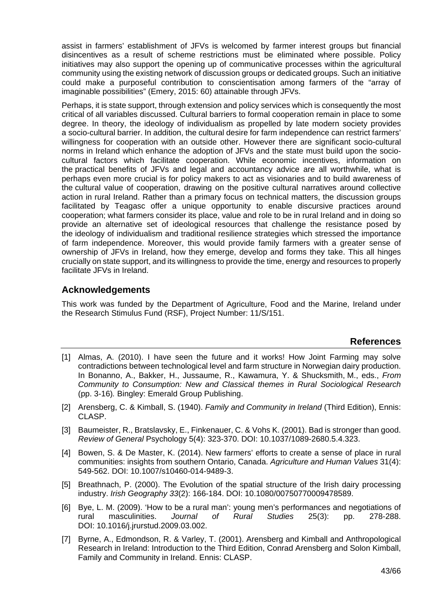assist in farmers' establishment of JFVs is welcomed by farmer interest groups but financial disincentives as a result of scheme restrictions must be eliminated where possible. Policy initiatives may also support the opening up of communicative processes within the agricultural community using the existing network of discussion groups or dedicated groups. Such an initiative could make a purposeful contribution to conscientisation among farmers of the "array of imaginable possibilities" (Emery, 2015: 60) attainable through JFVs.

Perhaps, it is state support, through extension and policy services which is consequently the most critical of all variables discussed. Cultural barriers to formal cooperation remain in place to some degree. In theory, the ideology of individualism as propelled by late modern society provides a socio-cultural barrier. In addition, the cultural desire for farm independence can restrict farmers' willingness for cooperation with an outside other. However there are significant socio-cultural norms in Ireland which enhance the adoption of JFVs and the state must build upon the sociocultural factors which facilitate cooperation. While economic incentives, information on the practical benefits of JFVs and legal and accountancy advice are all worthwhile, what is perhaps even more crucial is for policy makers to act as visionaries and to build awareness of the cultural value of cooperation, drawing on the positive cultural narratives around collective action in rural Ireland. Rather than a primary focus on technical matters, the discussion groups facilitated by Teagasc offer a unique opportunity to enable discursive practices around cooperation; what farmers consider its place, value and role to be in rural Ireland and in doing so provide an alternative set of ideological resources that challenge the resistance posed by the ideology of individualism and traditional resilience strategies which stressed the importance of farm independence. Moreover, this would provide family farmers with a greater sense of ownership of JFVs in Ireland, how they emerge, develop and forms they take. This all hinges crucially on state support, and its willingness to provide the time, energy and resources to properly facilitate JFVs in Ireland.

# **Acknowledgements**

This work was funded by the Department of Agriculture, Food and the Marine, Ireland under the Research Stimulus Fund (RSF), Project Number: 11/S/151.

#### **References**

- [1] Almas, A. (2010). I have seen the future and it works! How Joint Farming may solve contradictions between technological level and farm structure in Norwegian dairy production. In Bonanno, A., Bakker, H., Jussaume, R., Kawamura, Y. & Shucksmith, M., eds., *From Community to Consumption: New and Classical themes in Rural Sociological Research* (pp. 3-16)*.* Bingley: Emerald Group Publishing.
- [2] Arensberg, C. & Kimball, S. (1940). *Family and Community in Ireland* (Third Edition), Ennis: CLASP.
- [3] Baumeister, R., Bratslavsky, E., Finkenauer, C. & Vohs K. (2001). Bad is stronger than good. *Review of General* Psychology 5(4): 323-370. DOI: 10.1037/1089-2680.5.4.323.
- [4] Bowen, S. & De Master, K. (2014). New farmers' efforts to create a sense of place in rural communities: insights from southern Ontario, Canada. *Agriculture and Human Values* 31(4): 549-562. DOI: 10.1007/s10460-014-9489-3.
- [5] Breathnach, P. (2000). The Evolution of the spatial structure of the Irish dairy processing industry. *Irish Geography 33*(2): 166-184. DOI: 10.1080/00750770009478589.
- [6] Bye, L. M. (2009). 'How to be a rural man': young men's performances and negotiations of rural masculinities. *Journal of Rural Studies* 25(3): pp. 278-288. DOI: 10.1016/j.jrurstud.2009.03.002.
- [7] Byrne, A., Edmondson, R. & Varley, T. (2001). Arensberg and Kimball and Anthropological Research in Ireland: Introduction to the Third Edition, Conrad Arensberg and Solon Kimball, Family and Community in Ireland. Ennis: CLASP.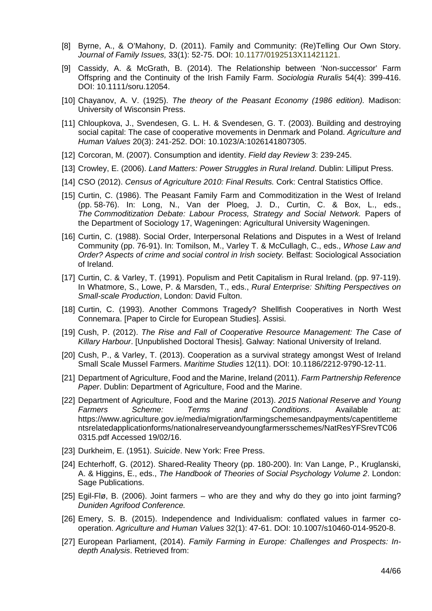- [8] Byrne, A., & O'Mahony, D. (2011). Family and Community: (Re)Telling Our Own Story. *Journal of Family Issues,* 33(1): 52-75. DOI: 10.1177/0192513X11421121.
- [9] Cassidy, A. & McGrath, B. (2014). The Relationship between 'Non-successor' Farm Offspring and the Continuity of the Irish Family Farm. *Sociologia Ruralis* 54(4): 399-416. DOI: 10.1111/soru.12054.
- [10] Chayanov, A. V. (1925). *The theory of the Peasant Economy (1986 edition).* Madison: University of Wisconsin Press.
- [11] Chloupkova, J., Svendesen, G. L. H. & Svendesen, G. T. (2003). Building and destroying social capital: The case of cooperative movements in Denmark and Poland. *Agriculture and Human Values* 20(3): 241-252. DOI: 10.1023/A:1026141807305.
- [12] Corcoran, M. (2007). Consumption and identity. *Field day Review* 3: 239-245.
- [13] Crowley, E. (2006). *Land Matters: Power Struggles in Rural Ireland*. Dublin: Lilliput Press.
- [14] CSO (2012). *Census of Agriculture 2010: Final Results.* Cork: Central Statistics Office.
- [15] Curtin, C. (1986). The Peasant Family Farm and Commoditization in the West of Ireland (pp. 58-76). In: Long, N., Van der Ploeg, J. D., Curtin, C. & Box, L., eds., *The Commoditization Debate: Labour Process, Strategy and Social Network.* Papers of the Department of Sociology 17, Wageningen: Agricultural University Wageningen.
- [16] Curtin, C. (1988). Social Order, Interpersonal Relations and Disputes in a West of Ireland Community (pp. 76-91). In: Tomilson, M., Varley T. & McCullagh, C., eds., *Whose Law and Order? Aspects of crime and social control in Irish society.* Belfast: Sociological Association of Ireland.
- [17] Curtin, C. & Varley, T. (1991). Populism and Petit Capitalism in Rural Ireland. (pp. 97-119). In Whatmore, S., Lowe, P. & Marsden, T., eds., *Rural Enterprise: Shifting Perspectives on Small-scale Production*, London: David Fulton.
- [18] Curtin, C. (1993). Another Commons Tragedy? Shellfish Cooperatives in North West Connemara. [Paper to Circle for European Studies]. Assisi.
- [19] Cush, P. (2012). *The Rise and Fall of Cooperative Resource Management: The Case of Killary Harbour*. [Unpublished Doctoral Thesis]. Galway: National University of Ireland.
- [20] Cush, P., & Varley, T. (2013). Cooperation as a survival strategy amongst West of Ireland Small Scale Mussel Farmers. *Maritime Studies* 12(11). DOI: 10.1186/2212-9790-12-11.
- [21] Department of Agriculture, Food and the Marine, Ireland (2011). *Farm Partnership Reference Paper*. Dublin: Department of Agriculture, Food and the Marine.
- [22] Department of Agriculture, Food and the Marine (2013). *2015 National Reserve and Young Farmers Scheme: Terms and Conditions*. Available at: https://www.agriculture.gov.ie/media/migration/farmingschemesandpayments/capentitleme ntsrelatedapplicationforms/nationalreserveandyoungfarmersschemes/NatResYFSrevTC06 0315.pdf Accessed 19/02/16.
- [23] Durkheim, E. (1951). *Suicide*. New York: Free Press.
- [24] Echterhoff, G. (2012). Shared-Reality Theory (pp. 180-200). In: Van Lange, P., Kruglanski, A. & Higgins, E., eds., *The Handbook of Theories of Social Psychology Volume 2*. London: Sage Publications.
- [25] Egil-Flø, B. (2006). Joint farmers who are they and why do they go into joint farming? *Duniden Agrifood Conference.*
- [26] Emery, S. B. (2015). Independence and Individualism: conflated values in farmer cooperation. *Agriculture and Human Values* 32(1): 47-61. DOI: 10.1007/s10460-014-9520-8.
- [27] European Parliament, (2014). *Family Farming in Europe: Challenges and Prospects: Indepth Analysis*. Retrieved from: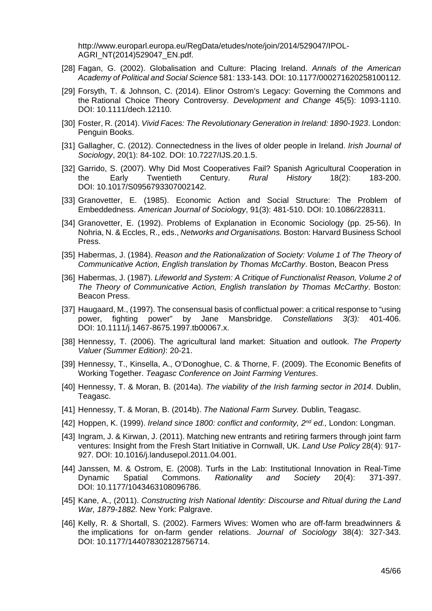http://www.europarl.europa.eu/RegData/etudes/note/join/2014/529047/IPOL-AGRI\_NT(2014)529047\_EN.pdf.

- [28] Fagan, G. (2002). Globalisation and Culture: Placing Ireland. *Annals of the American Academy of Political and Social Science* 581: 133-143. DOI: 10.1177/000271620258100112.
- [29] Forsyth, T. & Johnson, C. (2014). Elinor Ostrom's Legacy: Governing the Commons and the Rational Choice Theory Controversy. *Development and Change* 45(5): 1093-1110. DOI: 10.1111/dech.12110.
- [30] Foster, R. (2014). *Vivid Faces: The Revolutionary Generation in Ireland: 1890-1923*. London: Penguin Books.
- [31] Gallagher, C. (2012). Connectedness in the lives of older people in Ireland. *Irish Journal of Sociology*, 20(1): 84-102. DOI: 10.7227/IJS.20.1.5.
- [32] Garrido, S. (2007). Why Did Most Cooperatives Fail? Spanish Agricultural Cooperation in the Early Twentieth Century. *Rural History* 18(2): 183-200. DOI: 10.1017/S0956793307002142.
- [33] Granovetter, E. (1985). Economic Action and Social Structure: The Problem of Embeddedness. *American Journal of Sociology*, 91(3): 481-510. DOI: 10.1086/228311.
- [34] Granovetter, E. (1992). Problems of Explanation in Economic Sociology (pp. 25-56). In Nohria, N. & Eccles, R., eds., *Networks and Organisations.* Boston: Harvard Business School Press.
- [35] Habermas, J. (1984). *Reason and the Rationalization of Society: Volume 1 of The Theory of Communicative Action, English translation by Thomas McCarthy*. Boston, Beacon Press
- [36] Habermas, J. (1987). *Lifeworld and System: A Critique of Functionalist Reason, Volume 2 of The Theory of Communicative Action, English translation by Thomas McCarthy*. Boston: Beacon Press.
- [37] Haugaard, M., (1997). The consensual basis of conflictual power: a critical response to "using power, fighting power" by Jane Mansbridge. *Constellations 3(3):* 401-406. DOI: 10.1111/j.1467-8675.1997.tb00067.x.
- [38] Hennessy, T. (2006). The agricultural land market: Situation and outlook. *The Property Valuer (Summer Edition)*: 20-21.
- [39] Hennessy, T., Kinsella, A., O'Donoghue, C. & Thorne, F. (2009). The Economic Benefits of Working Together. *Teagasc Conference on Joint Farming Ventures*.
- [40] Hennessy, T. & Moran, B. (2014a). *The viability of the Irish farming sector in 2014.* Dublin, Teagasc.
- [41] Hennessy, T. & Moran, B. (2014b). *The National Farm Survey.* Dublin, Teagasc.
- [42] Hoppen, K. (1999). *Ireland since 1800: conflict and conformity, 2nd ed.,* London: Longman.
- [43] Ingram, J. & Kirwan, J. (2011). Matching new entrants and retiring farmers through joint farm ventures: Insight from the Fresh Start Initiative in Cornwall, UK. *Land Use Policy* 28(4): 917- 927. DOI: 10.1016/j.landusepol.2011.04.001.
- [44] Janssen, M. & Ostrom, E. (2008). Turfs in the Lab: Institutional Innovation in Real-Time Dynamic Spatial Commons. *Rationality and Society* 20(4): 371-397. DOI: 10.1177/1043463108096786.
- [45] Kane, A., (2011). *Constructing Irish National Identity: Discourse and Ritual during the Land War, 1879-1882.* New York: Palgrave.
- [46] Kelly, R. & Shortall, S. (2002). Farmers Wives: Women who are off-farm breadwinners & the implications for on-farm gender relations. *Journal of Sociology* 38(4): 327-343. DOI: 10.1177/144078302128756714.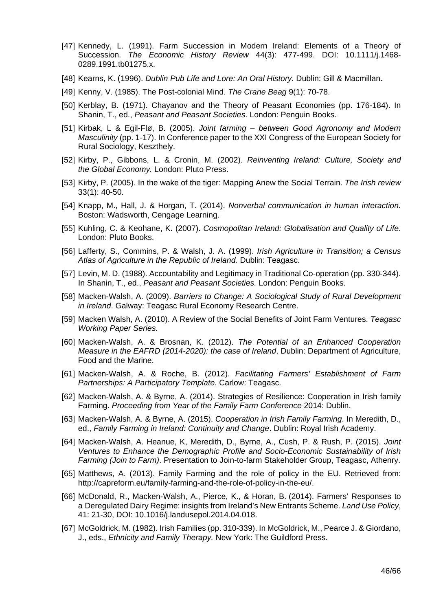- [47] Kennedy, L. (1991). Farm Succession in Modern Ireland: Elements of a Theory of Succession. *The Economic History Review* 44(3): 477-499. DOI: 10.1111/j.1468- 0289.1991.tb01275.x.
- [48] Kearns, K. (1996). *Dublin Pub Life and Lore: An Oral History*. Dublin: Gill & Macmillan.
- [49] Kenny, V. (1985). The Post-colonial Mind. *The Crane Beag* 9(1): 70-78.
- [50] Kerblay, B. (1971). Chayanov and the Theory of Peasant Economies (pp. 176-184). In Shanin, T., ed., *Peasant and Peasant Societies*. London: Penguin Books.
- [51] Kirbak, L & Egil-Flø, B. (2005). *Joint farming between Good Agronomy and Modern Masculinity* (pp. 1-17). In Conference paper to the XXI Congress of the European Society for Rural Sociology, Keszthely.
- [52] Kirby, P., Gibbons, L. & Cronin, M. (2002). *Reinventing Ireland: Culture, Society and the Global Economy.* London: Pluto Press.
- [53] Kirby, P. (2005). In the wake of the tiger: Mapping Anew the Social Terrain. *The Irish review* 33(1): 40-50.
- [54] Knapp, M., Hall, J. & Horgan, T. (2014). *Nonverbal communication in human interaction.* Boston: Wadsworth, Cengage Learning.
- [55] Kuhling, C. & Keohane, K. (2007). *Cosmopolitan Ireland: Globalisation and Quality of Life*. London: Pluto Books.
- [56] Lafferty, S., Commins, P. & Walsh, J. A. (1999). *Irish Agriculture in Transition; a Census Atlas of Agriculture in the Republic of Ireland.* Dublin: Teagasc.
- [57] Levin, M. D. (1988). Accountability and Legitimacy in Traditional Co-operation (pp. 330-344). In Shanin, T., ed., *Peasant and Peasant Societies.* London: Penguin Books.
- [58] Macken-Walsh, A. (2009). *Barriers to Change: A Sociological Study of Rural Development in Ireland*. Galway: Teagasc Rural Economy Research Centre.
- [59] Macken Walsh, A. (2010). A Review of the Social Benefits of Joint Farm Ventures. *Teagasc Working Paper Series.*
- [60] Macken-Walsh, A. & Brosnan, K. (2012). *The Potential of an Enhanced Cooperation Measure in the EAFRD (2014-2020): the case of Ireland*. Dublin: Department of Agriculture, Food and the Marine.
- [61] Macken-Walsh, A. & Roche, B. (2012). *Facilitating Farmers' Establishment of Farm Partnerships: A Participatory Template.* Carlow: Teagasc.
- [62] Macken-Walsh, A. & Byrne, A. (2014). Strategies of Resilience: Cooperation in Irish family Farming. *Proceeding from Year of the Family Farm Conference* 2014: Dublin.
- [63] Macken-Walsh, A. & Byrne, A. (2015). *Cooperation in Irish Family Farming*. In Meredith, D., ed., *Family Farming in Ireland: Continuity and Change*. Dublin: Royal Irish Academy.
- [64] Macken-Walsh, A. Heanue, K, Meredith, D., Byrne, A., Cush, P. & Rush, P. (2015). *Joint Ventures to Enhance the Demographic Profile and Socio-Economic Sustainability of Irish Farming (Join to Farm)*. Presentation to Join-to-farm Stakeholder Group, Teagasc, Athenry.
- [65] Matthews, A. (2013). Family Farming and the role of policy in the EU. Retrieved from: http://capreform.eu/family-farming-and-the-role-of-policy-in-the-eu/.
- [66] McDonald, R., Macken-Walsh, A., Pierce, K., & Horan, B. (2014). Farmers' Responses to a Deregulated Dairy Regime: insights from Ireland's New Entrants Scheme. *Land Use Policy*, 41: 21-30, DOI: 10.1016/j.landusepol.2014.04.018.
- [67] McGoldrick, M. (1982). Irish Families (pp. 310-339). In McGoldrick, M., Pearce J. & Giordano, J., eds., *Ethnicity and Family Therapy.* New York: The Guildford Press.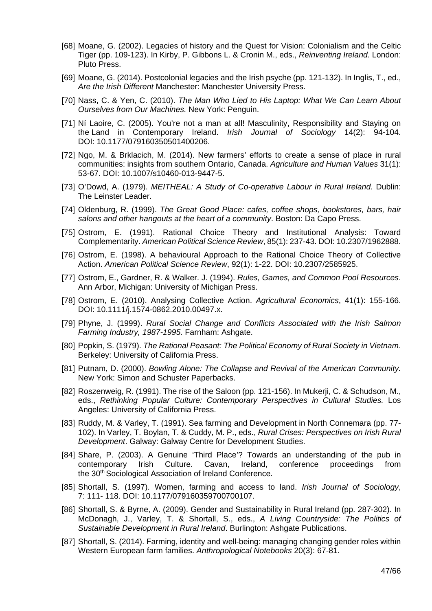- [68] Moane, G. (2002). Legacies of history and the Quest for Vision: Colonialism and the Celtic Tiger (pp. 109-123). In Kirby, P. Gibbons L. & Cronin M., eds., *Reinventing Ireland.* London: Pluto Press.
- [69] Moane, G. (2014). Postcolonial legacies and the Irish psyche (pp. 121-132). In Inglis, T., ed., *Are the Irish Different* Manchester: Manchester University Press.
- [70] Nass, C. & Yen, C. (2010). *The Man Who Lied to His Laptop: What We Can Learn About Ourselves from Our Machines.* New York: Penguin.
- [71] Ní Laoire, C. (2005). You're not a man at all! Masculinity, Responsibility and Staying on the Land in Contemporary Ireland. *Irish Journal of Sociology* 14(2): 94-104. DOI: 10.1177/079160350501400206.
- [72] Ngo, M. & Brklacich, M. (2014). New farmers' efforts to create a sense of place in rural communities: insights from southern Ontario, Canada. *Agriculture and Human Values* 31(1): 53-67. DOI: 10.1007/s10460-013-9447-5.
- [73] O'Dowd, A. (1979). *MEITHEAL: A Study of Co-operative Labour in Rural Ireland.* Dublin: The Leinster Leader.
- [74] Oldenburg, R. (1999). *The Great Good Place: cafes, coffee shops, bookstores, bars, hair salons and other hangouts at the heart of a community*. Boston: Da Capo Press.
- [75] Ostrom, E. (1991). Rational Choice Theory and Institutional Analysis: Toward Complementarity. *American Political Science Review*, 85(1): 237-43. DOI: 10.2307/1962888.
- [76] Ostrom, E. (1998). A behavioural Approach to the Rational Choice Theory of Collective Action. *American Political Science Review*, 92(1): 1-22. DOI: 10.2307/2585925.
- [77] Ostrom, E., Gardner, R. & Walker. J. (1994). *Rules, Games, and Common Pool Resources*. Ann Arbor, Michigan: University of Michigan Press.
- [78] Ostrom, E. (2010). Analysing Collective Action. *Agricultural Economics*, 41(1): 155-166. DOI: 10.1111/j.1574-0862.2010.00497.x.
- [79] Phyne, J. (1999). *Rural Social Change and Conflicts Associated with the Irish Salmon Farming Industry, 1987-1995.* Farnham: Ashgate.
- [80] Popkin, S. (1979). *The Rational Peasant: The Political Economy of Rural Society in Vietnam*. Berkeley: University of California Press.
- [81] Putnam, D. (2000). *Bowling Alone: The Collapse and Revival of the American Community.* New York: Simon and Schuster Paperbacks.
- [82] Roszenweig, R. (1991). The rise of the Saloon (pp. 121-156). In Mukerji, C. & Schudson, M., eds., *Rethinking Popular Culture: Contemporary Perspectives in Cultural Studies.* Los Angeles: University of California Press.
- [83] Ruddy, M. & Varley, T. (1991). Sea farming and Development in North Connemara (pp. 77- 102). In Varley, T. Boylan, T. & Cuddy, M. P., eds., *Rural Crises: Perspectives on Irish Rural Development*. Galway: Galway Centre for Development Studies.
- [84] Share, P. (2003). A Genuine 'Third Place'? Towards an understanding of the pub in contemporary Irish Culture. Cavan, Ireland, conference proceedings from the 30<sup>th</sup> Sociological Association of Ireland Conference.
- [85] Shortall, S. (1997). Women, farming and access to land. *Irish Journal of Sociology*, 7: 111- 118. DOI: 10.1177/079160359700700107.
- [86] Shortall, S. & Byrne, A. (2009). Gender and Sustainability in Rural Ireland (pp. 287-302). In McDonagh, J., Varley, T. & Shortall, S., eds., *A Living Countryside: The Politics of Sustainable Development in Rural Ireland*. Burlington: Ashgate Publications.
- [87] Shortall, S. (2014). Farming, identity and well-being: managing changing gender roles within Western European farm families. *Anthropological Notebooks* 20(3): 67-81.